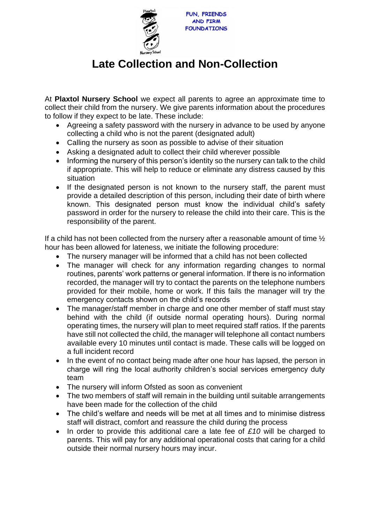

## **Late Collection and Non-Collection**

At **Plaxtol Nursery School** we expect all parents to agree an approximate time to collect their child from the nursery. We give parents information about the procedures to follow if they expect to be late. These include:

- Agreeing a safety password with the nursery in advance to be used by anyone collecting a child who is not the parent (designated adult)
- Calling the nursery as soon as possible to advise of their situation
- Asking a designated adult to collect their child wherever possible
- Informing the nursery of this person's identity so the nursery can talk to the child if appropriate. This will help to reduce or eliminate any distress caused by this situation
- If the designated person is not known to the nursery staff, the parent must provide a detailed description of this person, including their date of birth where known. This designated person must know the individual child's safety password in order for the nursery to release the child into their care. This is the responsibility of the parent.

If a child has not been collected from the nursery after a reasonable amount of time  $\frac{1}{2}$ hour has been allowed for lateness, we initiate the following procedure:

- The nursery manager will be informed that a child has not been collected
- The manager will check for any information regarding changes to normal routines, parents' work patterns or general information. If there is no information recorded, the manager will try to contact the parents on the telephone numbers provided for their mobile, home or work. If this fails the manager will try the emergency contacts shown on the child's records
- The manager/staff member in charge and one other member of staff must stay behind with the child (if outside normal operating hours). During normal operating times, the nursery will plan to meet required staff ratios. If the parents have still not collected the child, the manager will telephone all contact numbers available every 10 minutes until contact is made. These calls will be logged on a full incident record
- In the event of no contact being made after one hour has lapsed, the person in charge will ring the local authority children's social services emergency duty team
- The nursery will inform Ofsted as soon as convenient
- The two members of staff will remain in the building until suitable arrangements have been made for the collection of the child
- The child's welfare and needs will be met at all times and to minimise distress staff will distract, comfort and reassure the child during the process
- In order to provide this additional care a late fee of *£10* will be charged to parents. This will pay for any additional operational costs that caring for a child outside their normal nursery hours may incur.